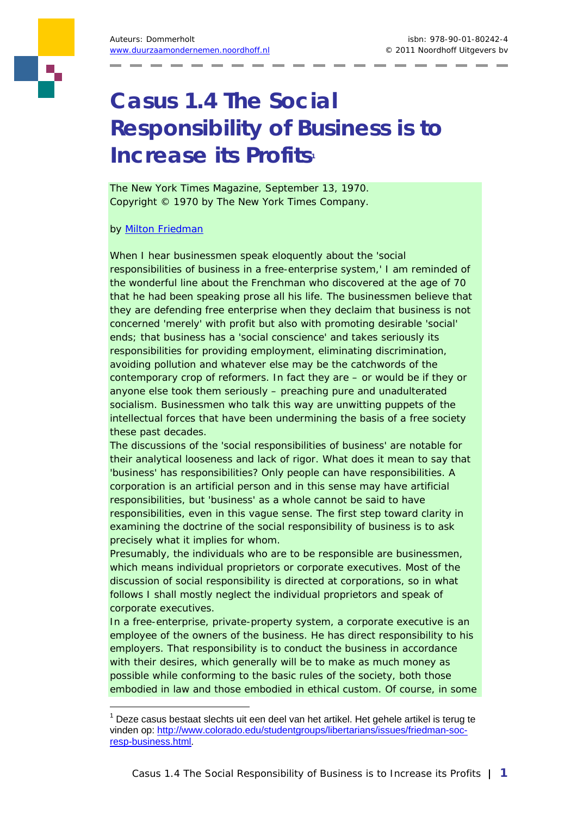

## **Casus 1.4 The Social Responsibility of Business is to Increase its Profits<sup>1</sup>**

*The New York Times Magazine*, September 13, 1970. Copyright © 1970 by The New York Times Company.

by Milton Friedman

1

When I hear businessmen speak eloquently about the 'social responsibilities of business in a free-enterprise system,' I am reminded of the wonderful line about the Frenchman who discovered at the age of 70 that he had been speaking prose all his life. The businessmen believe that they are defending free enterprise when they declaim that business is not concerned 'merely' with profit but also with promoting desirable 'social' ends; that business has a 'social conscience' and takes seriously its responsibilities for providing employment, eliminating discrimination, avoiding pollution and whatever else may be the catchwords of the contemporary crop of reformers. In fact they are – or would be if they or anyone else took them seriously – preaching pure and unadulterated socialism. Businessmen who talk this way are unwitting puppets of the intellectual forces that have been undermining the basis of a free society these past decades.

The discussions of the 'social responsibilities of business' are notable for their analytical looseness and lack of rigor. What does it mean to say that 'business' has responsibilities? Only people can have responsibilities. A corporation is an artificial person and in this sense may have artificial responsibilities, but 'business' as a whole cannot be said to have responsibilities, even in this vague sense. The first step toward clarity in examining the doctrine of the social responsibility of business is to ask precisely what it implies for whom.

Presumably, the individuals who are to be responsible are businessmen, which means individual proprietors or corporate executives. Most of the discussion of social responsibility is directed at corporations, so in what follows I shall mostly neglect the individual proprietors and speak of corporate executives.

In a free-enterprise, private-property system, a corporate executive is an employee of the owners of the business. He has direct responsibility to his employers. That responsibility is to conduct the business in accordance with their desires, which generally will be to make as much money as possible while conforming to the basic rules of the society, both those embodied in law and those embodied in ethical custom. Of course, in some

<sup>1</sup> Deze casus bestaat slechts uit een deel van het artikel. Het gehele artikel is terug te vinden op: http://www.colorado.edu/studentgroups/libertarians/issues/friedman-socresp-business.html.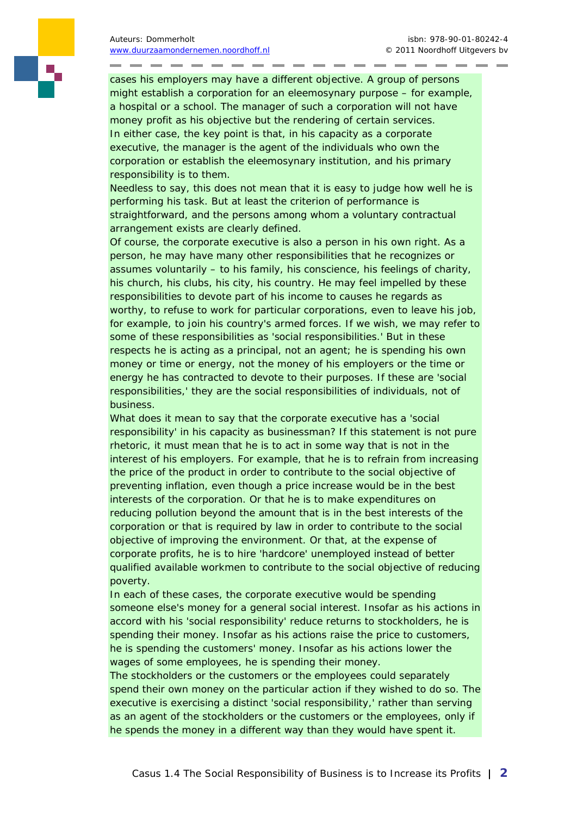cases his employers may have a different objective. A group of persons might establish a corporation for an eleemosynary purpose – for example, a hospital or a school. The manager of such a corporation will not have money profit as his objective but the rendering of certain services. In either case, the key point is that, in his capacity as a corporate executive, the manager is the agent of the individuals who own the corporation or establish the eleemosynary institution, and his primary responsibility is to them.

Needless to say, this does not mean that it is easy to judge how well he is performing his task. But at least the criterion of performance is straightforward, and the persons among whom a voluntary contractual arrangement exists are clearly defined.

Of course, the corporate executive is also a person in his own right. As a person, he may have many other responsibilities that he recognizes or assumes voluntarily – to his family, his conscience, his feelings of charity, his church, his clubs, his city, his country. He may feel impelled by these responsibilities to devote part of his income to causes he regards as worthy, to refuse to work for particular corporations, even to leave his job, for example, to join his country's armed forces. If we wish, we may refer to some of these responsibilities as 'social responsibilities.' But in these respects he is acting as a principal, not an agent; he is spending his own money or time or energy, not the money of his employers or the time or energy he has contracted to devote to their purposes. If these are 'social responsibilities,' they are the social responsibilities of individuals, not of business.

What does it mean to say that the corporate executive has a 'social responsibility' in his capacity as businessman? If this statement is not pure rhetoric, it must mean that he is to act in some way that is not in the interest of his employers. For example, that he is to refrain from increasing the price of the product in order to contribute to the social objective of preventing inflation, even though a price increase would be in the best interests of the corporation. Or that he is to make expenditures on reducing pollution beyond the amount that is in the best interests of the corporation or that is required by law in order to contribute to the social objective of improving the environment. Or that, at the expense of corporate profits, he is to hire 'hardcore' unemployed instead of better qualified available workmen to contribute to the social objective of reducing poverty.

In each of these cases, the corporate executive would be spending someone else's money for a general social interest. Insofar as his actions in accord with his 'social responsibility' reduce returns to stockholders, he is spending their money. Insofar as his actions raise the price to customers, he is spending the customers' money. Insofar as his actions lower the wages of some employees, he is spending their money.

The stockholders or the customers or the employees could separately spend their own money on the particular action if they wished to do so. The executive is exercising a distinct 'social responsibility,' rather than serving as an agent of the stockholders or the customers or the employees, only if he spends the money in a different way than they would have spent it.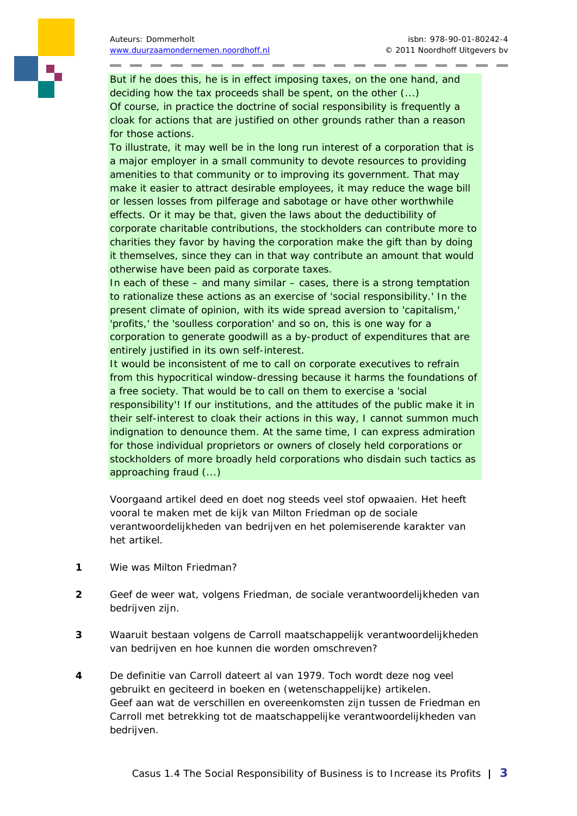But if he does this, he is in effect imposing taxes, on the one hand, and deciding how the tax proceeds shall be spent, on the other (...) Of course, in practice the doctrine of social responsibility is frequently a cloak for actions that are justified on other grounds rather than a reason for those actions.

To illustrate, it may well be in the long run interest of a corporation that is a major employer in a small community to devote resources to providing amenities to that community or to improving its government. That may make it easier to attract desirable employees, it may reduce the wage bill or lessen losses from pilferage and sabotage or have other worthwhile effects. Or it may be that, given the laws about the deductibility of corporate charitable contributions, the stockholders can contribute more to charities they favor by having the corporation make the gift than by doing it themselves, since they can in that way contribute an amount that would otherwise have been paid as corporate taxes.

In each of these – and many similar – cases, there is a strong temptation to rationalize these actions as an exercise of 'social responsibility.' In the present climate of opinion, with its wide spread aversion to 'capitalism,' 'profits,' the 'soulless corporation' and so on, this is one way for a corporation to generate goodwill as a by-product of expenditures that are entirely justified in its own self-interest.

It would be inconsistent of me to call on corporate executives to refrain from this hypocritical window-dressing because it harms the foundations of a free society. That would be to call on them to exercise a 'social responsibility'! If our institutions, and the attitudes of the public make it in their self-interest to cloak their actions in this way, I cannot summon much indignation to denounce them. At the same time, I can express admiration for those individual proprietors or owners of closely held corporations or stockholders of more broadly held corporations who disdain such tactics as approaching fraud (...)

Voorgaand artikel deed en doet nog steeds veel stof opwaaien. Het heeft vooral te maken met de kijk van Milton Friedman op de sociale verantwoordelijkheden van bedrijven en het polemiserende karakter van het artikel.

- **1** Wie was Milton Friedman?
- **2** Geef de weer wat, volgens Friedman, de sociale verantwoordelijkheden van bedrijven zijn.
- **3** Waaruit bestaan volgens de Carroll maatschappelijk verantwoordelijkheden van bedrijven en hoe kunnen die worden omschreven?
- **4** De definitie van Carroll dateert al van 1979. Toch wordt deze nog veel gebruikt en geciteerd in boeken en (wetenschappelijke) artikelen. Geef aan wat de verschillen en overeenkomsten zijn tussen de Friedman en Carroll met betrekking tot de maatschappelijke verantwoordelijkheden van bedrijven.